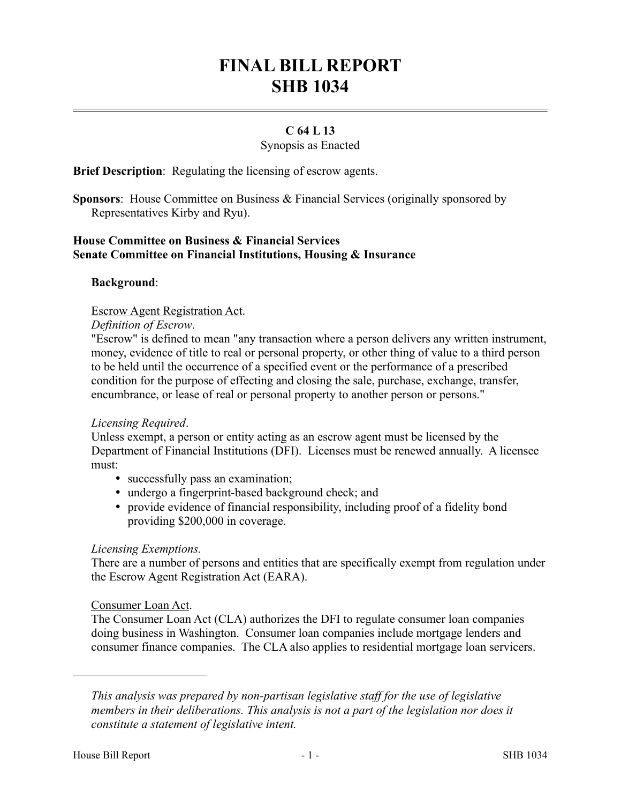# **FINAL BILL REPORT SHB 1034**

# **C 64 L 13**

Synopsis as Enacted

**Brief Description**: Regulating the licensing of escrow agents.

**Sponsors**: House Committee on Business & Financial Services (originally sponsored by Representatives Kirby and Ryu).

## **House Committee on Business & Financial Services Senate Committee on Financial Institutions, Housing & Insurance**

#### **Background**:

Escrow Agent Registration Act.

#### *Definition of Escrow*.

"Escrow" is defined to mean "any transaction where a person delivers any written instrument, money, evidence of title to real or personal property, or other thing of value to a third person to be held until the occurrence of a specified event or the performance of a prescribed condition for the purpose of effecting and closing the sale, purchase, exchange, transfer, encumbrance, or lease of real or personal property to another person or persons."

#### *Licensing Required*.

Unless exempt, a person or entity acting as an escrow agent must be licensed by the Department of Financial Institutions (DFI). Licenses must be renewed annually. A licensee must:

- successfully pass an examination;
- undergo a fingerprint-based background check; and
- provide evidence of financial responsibility, including proof of a fidelity bond providing \$200,000 in coverage.

#### *Licensing Exemptions.*

There are a number of persons and entities that are specifically exempt from regulation under the Escrow Agent Registration Act (EARA).

#### Consumer Loan Act.

––––––––––––––––––––––

The Consumer Loan Act (CLA) authorizes the DFI to regulate consumer loan companies doing business in Washington. Consumer loan companies include mortgage lenders and consumer finance companies. The CLA also applies to residential mortgage loan servicers.

*This analysis was prepared by non-partisan legislative staff for the use of legislative members in their deliberations. This analysis is not a part of the legislation nor does it constitute a statement of legislative intent.*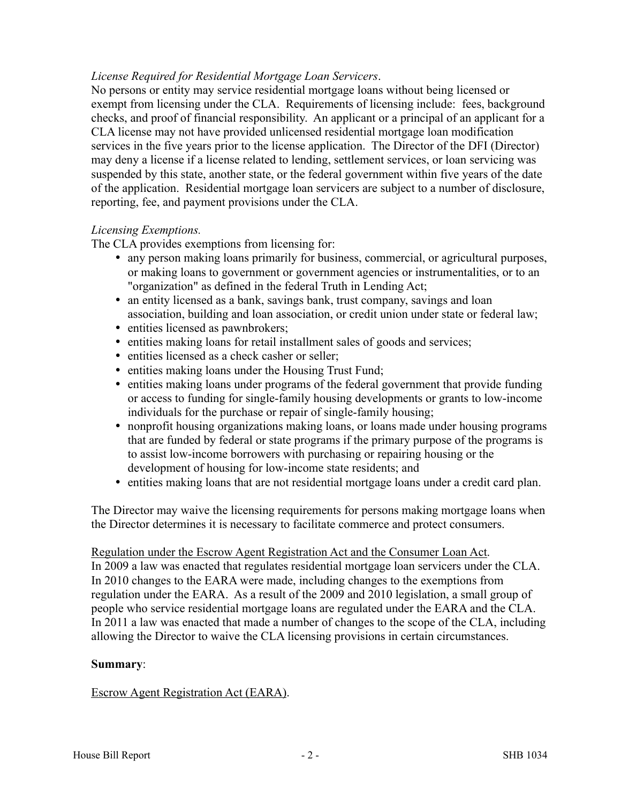## *License Required for Residential Mortgage Loan Servicers*.

No persons or entity may service residential mortgage loans without being licensed or exempt from licensing under the CLA. Requirements of licensing include: fees, background checks, and proof of financial responsibility. An applicant or a principal of an applicant for a CLA license may not have provided unlicensed residential mortgage loan modification services in the five years prior to the license application. The Director of the DFI (Director) may deny a license if a license related to lending, settlement services, or loan servicing was suspended by this state, another state, or the federal government within five years of the date of the application. Residential mortgage loan servicers are subject to a number of disclosure, reporting, fee, and payment provisions under the CLA.

## *Licensing Exemptions.*

The CLA provides exemptions from licensing for:

- any person making loans primarily for business, commercial, or agricultural purposes, or making loans to government or government agencies or instrumentalities, or to an "organization" as defined in the federal Truth in Lending Act;
- an entity licensed as a bank, savings bank, trust company, savings and loan association, building and loan association, or credit union under state or federal law;
- entities licensed as pawnbrokers;
- entities making loans for retail installment sales of goods and services;
- entities licensed as a check casher or seller;
- entities making loans under the Housing Trust Fund;
- entities making loans under programs of the federal government that provide funding or access to funding for single-family housing developments or grants to low-income individuals for the purchase or repair of single-family housing;
- nonprofit housing organizations making loans, or loans made under housing programs that are funded by federal or state programs if the primary purpose of the programs is to assist low-income borrowers with purchasing or repairing housing or the development of housing for low-income state residents; and
- entities making loans that are not residential mortgage loans under a credit card plan.

The Director may waive the licensing requirements for persons making mortgage loans when the Director determines it is necessary to facilitate commerce and protect consumers.

#### Regulation under the Escrow Agent Registration Act and the Consumer Loan Act.

In 2009 a law was enacted that regulates residential mortgage loan servicers under the CLA. In 2010 changes to the EARA were made, including changes to the exemptions from regulation under the EARA. As a result of the 2009 and 2010 legislation, a small group of people who service residential mortgage loans are regulated under the EARA and the CLA. In 2011 a law was enacted that made a number of changes to the scope of the CLA, including allowing the Director to waive the CLA licensing provisions in certain circumstances.

#### **Summary**:

#### Escrow Agent Registration Act (EARA).